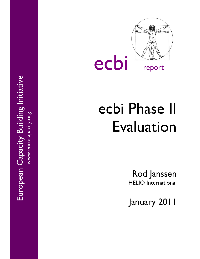European Capacity Building Initiative European Capacity Building Initiative www.eurocapacity.org



# ecbi Phase II Evaluation

Rod Janssen HELIO International

January 2011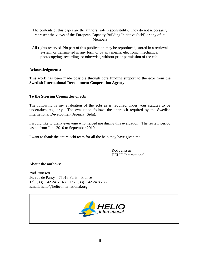The contents of this paper are the authors' sole responsibility. They do not necessarily represent the views of the European Capacity Building Initiative (ecbi) or any of its Members

All rights reserved. No part of this publication may be reproduced, stored in a retrieval system, or transmitted in any form or by any means, electronic, mechanical, photocopying, recording, or otherwise, without prior permission of the ecbi.

# **Acknowledgments:**

This work has been made possible through core funding support to the ecbi from the **Swedish International Development Cooperation Agency.**

# **To the Steering Committee of ecbi:**

The following is my evaluation of the ecbi as is required under your statutes to be undertaken regularly. The evaluation follows the approach required by the Swedish International Development Agency (Sida).

I would like to thank everyone who helped me during this evaluation. The review period lasted from June 2010 to September 2010.

I want to thank the entire ecbi team for all the help they have given me.

Rod Janssen HELIO International

#### **About the authors:**

### *Rod Janssen*

56, rue de Passy – 75016 Paris – France Tel: (33) 1.42.24.51.48 – Fax: (33) 1.42.24.86.33 Email: [helio@helio-international.org](mailto:helio@helio-international.org)

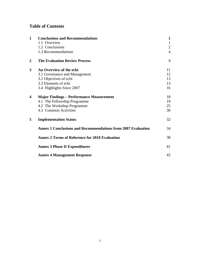# **Table of Contents**

| $\mathbf{1}$     | <b>Conclusions and Recommendations</b>                              |                |  |
|------------------|---------------------------------------------------------------------|----------------|--|
|                  | 1.1 Overview                                                        | $\mathbf{1}$   |  |
|                  | 1.2 Conclusions                                                     | $\overline{2}$ |  |
|                  | 1.3 Recommendations                                                 | $\overline{4}$ |  |
| $\boldsymbol{2}$ | <b>The Evaluation Review Process</b>                                | 9              |  |
| 3                | An Overview of the ecbi                                             | 11             |  |
|                  | 3.1 Governance and Management                                       | 12             |  |
|                  | 3.2 Objectives of ecbi                                              | 13             |  |
|                  | 3.3 Elements of ecbi                                                | 13             |  |
|                  | 3.4 Highlights Since 2007                                           | 16             |  |
| 4                | <b>Major Findings – Performance Measurement</b>                     | 18             |  |
|                  | 4.1 The Fellowship Programme                                        | 19             |  |
|                  | 4.2 The Workshop Programme                                          | 25             |  |
|                  | 4.3 Common Activities                                               | 30             |  |
| 5                | <b>Implementation Status</b>                                        | 32             |  |
|                  | <b>Annex 1 Conclusions and Recommendations from 2007 Evaluation</b> | 34             |  |
|                  | <b>Annex 2 Terms of Reference for 2010 Evaluation</b>               | 38             |  |
|                  | <b>Annex 3 Phase II Expenditures</b>                                | 41             |  |
|                  | <b>Annex 4 Management Response</b>                                  | 42             |  |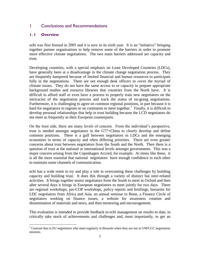# 1 Conclusions and Recommendations

#### **1. 1 Overview**

 $\overline{a}$ 

ecbi was first formed in 2005 and it is now in its sixth year. It is an "initiative" bringing together partner organisations to help remove some of the barriers in order to promote more effective climate negotiations. The two main barriers addressed are capacity and trust.

Developing countries, with a special emphasis on Least Developed Countries (LDCs), have generally been at a disadvantage in the climate change negotiation process. They are frequently hampered because of limited financial and human resources to participate fully in the negotiations. There are not enough desk officers to cover the myriad of climate issues. They do not have the same access to or capacity to prepare appropriate background studies and resource libraries that countries from the North have. It is difficult to afford staff or even have a process to properly train new negotiators on the intricacies of the negotiation process and track the status of on-going negotiations. Furthermore, it is challenging to agree on common regional positions, in part because it is hard for negotiators in regions or on continents to meet together.<sup>1</sup> Finally, it is difficult to develop personal relationships that help in trust building because the LCD negotiators do not meet as frequently as their European counterparts.

On the trust side, there are many levels of concern. From the individual"s perspective, trust is needed amongst negotiators in the G77+China to clearly develop and define common positions. There is a gulf between negotiators in LDCs and the emerging economies in terms of capacity and often differing priorities. There are even greater concerns about trust between negotiators from the South and the North. Then there is a question of trust at the national or international levels amongst governments. This was a major concern arising from the Copenhagen Accord, for example. At times like these, it is all the more essential that national negotiators have enough confidence in each other to maintain some channels of communication.

ecbi has a wide remit to try and play a role in overcoming these challenges by building capacity and building trust. It does this through a variety of distinct but inter-related activities. It brings together senior negotiators from the South to meet in Oxford and then after several days it brings in European negotiators to meet jointly for two days. There are regional workshops, pre-COP workshops, policy reports and briefings, bursaries for LDC negotiators from Africa and Asia, an annual seminar in Bonn, a Finance Circle of negotiators working on finance issues, a website for awareness creation and dissemination of materials and news, and then mentoring and encouragement.

This evaluation is intended to provide feedback to ecbi management on results to date, to critically take stock of achievements and challenges and, most importantly, to get an

 $1$  Contrast that to EU negotiators who meet regularly in Brussels when they are not at UNFCCC negotiation sessions.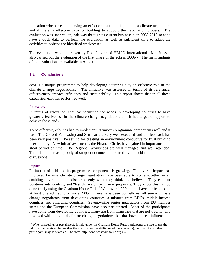indication whether ecbi is having an effect on trust building amongst climate negotiators and if there is effective capacity building to support the negotiation process. The evaluation was undertaken, half way through its current business plan 2008-2012 so as to have enough data to perform the evaluation as well as sufficient time to adapt the activities to address the identified weaknesses.

The evaluation was undertaken by Rod Janssen of HELIO International. Mr. Janssen also carried out the evaluation of the first phase of the ecbi in 2006-7. The main findings of that evaluation are available in Annex 1.

#### **1.2 Conclusions**

ecbi is a unique programme to help developing countries play an effective role in the climate change negotiations. The Initiative was assessed in terms of its relevance, effectiveness, impact, efficiency and sustainability. This report shows that in all those categories, ecbi has performed well.

#### **Relevancy**

In terms of relevance, ecbi has identified the needs in developing countries to have greater effectiveness in the climate change negotiations and it has targeted support to achieve those ends.

To be effective, ecbi has had to implement its various programme components well and it has. The Oxford Fellowship and Seminar are very well executed and the feedback has been very positive. The setting for creating an environment conducive for trust building is exemplary. New initiatives, such as the Finance Circle, have gained in importance in a short period of time. The Regional Workshops are well managed and well attended. There is an increasing body of support documents prepared by the ecbi to help facilitate discussions.

#### Impact

 $\overline{a}$ 

Its impact of ecbi and its programme components is growing. The overall impact has improved because climate change negotiators have been able to come together in an enabling environment to discuss openly what they think and believe. They can put positions into context, and "test the water" with new proposals. They know this can be done freely using the Chatham House Rule.<sup>2</sup> Well over 1,200 people have participated in at least one ecbi activity since 2005. There have been 65 Fellows, all senior climate change negotiators from developing countries, a mixture from LDCs, middle-income countries and emerging countries. Seventy-nine senior negotiators from EU member states and the European Commission have also participated. Most of the participants have come from developing countries; many are from ministries that are not traditionally involved with the global climate change negotiations, but that have a direct influence on

 $2$  "When a meeting, or part thereof, is held under the Chatham House Rule, participants are free to use the information received, but neither the identity nor the affiliation of the speaker(s), nor that of any other participant, may be revealed". Source: http://www.chathamhouse.org.uk/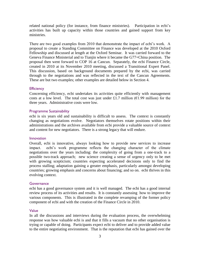related national policy (for instance, from finance ministries). Participation in ecbi"s activities has built up capacity within those countries and gained support from key ministries.

There are two good examples from 2010 that demonstrate the impact of ecbi's work. A proposal to create a Standing Committee on Finance was developed at the 2010 Oxford Fellowship and discussed at length at the Oxford Seminar. It was carried forward to the Geneva Finance Ministerial and to Tianjin where it became the G77+China position. The proposal then went forward to COP 16 at Cancun. Separately, the ecbi Finance Circle, created in 2010 at its November 2010 meeting, discussed a Transitional Expert Panel. This discussion, based on background documents prepared by the ecbi, was carried through to the negotiations and was reflected in the text of the Cancun Agreements. These are but two examples; other examples are detailed below in Section 4.

#### **Efficiency**

Concerning efficiency, ecbi undertakes its activities quite efficiently with management costs at a low level. The total cost was just under £1.7 million ( $\epsilon$ 1.99 million) for the three years. Administrative costs were low.

#### Programme Sustainability

ecbi is six years old and sustainability is difficult to assess. The context is constantly changing as negotiations evolve. Negotiators themselves rotate positions within their administrations and the archives available from ecbi provide a valuable source of context and content for new negotiators. There is a strong legacy that will endure.

#### **Innovation**

Overall, ecbi is innovative, always looking how to provide new services to increase impact. ecbi"s work programme reflects the changing character of the climate negotiations over the years including: the complexity of going from a one-track to a possible two-track approach; new science creating a sense of urgency only to be met with growing scepticism; countries expecting accelerated decisions only to find the process stalling; adaptation gaining a greater emphasis, particularly amongst developing countries; growing emphasis and concerns about financing; and so on. ecbi thrives in this evolving context.

#### **Governance**

ecbi has a good governance system and it is well managed. The ecbi has a good internal review process of its activities and results. It is constantly assessing how to improve the various components. This is illustrated in the complete revamping of the former policy component of ecbi and with the creation of the Finance Circle in 2010.

#### Value

In all the discussions and interviews during the evaluation process, the overwhelming response was how valuable ecbi is and that it fills a vacuum that no other organisation is trying or capable of doing. Participants expect ecbi to deliver and to provide added value to the entire negotiating environment. That is the reputation that ecbi has gained over the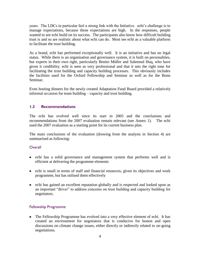years. The LDCs in particular feel a strong link with the Initiative. ecbi"s challenge is to manage expectations, because those expectations are high. In the responses, people wanted to see ecbi build on its success. The participants also know how difficult building trust is and so are realistic about what ecbi can do. Most see ecbi as a valuable platform to facilitate the trust building.

As a brand, ecbi has performed exceptionally well. It is an initiative and has no legal status. While there is an organisation and governance system, it is built on personalities, but experts in their own right, particularly Benito Müller and Saleemul Huq, who have given it credibility. ecbi is seen as very professional and that it sets the right tone for facilitating the trust building and capacity building processes. This obviously includes the facilities used for the Oxford Fellowship and Seminar as well as for the Bonn Seminar.

Even hosting dinners for the newly created Adaptation Fund Board provided a relatively informal occasion for team building – capacity and trust building.

# **1.3 Recommendations**

The ecbi has evolved well since its start in 2005 and the conclusions and recommendations from the 2007 evaluation remain relevant (see Annex 1). The ecbi used the 2007 evaluation as a starting point for its current business plan.

The main conclusions of the evaluation (drawing from the analysis in Section 4) are summarised as following:

#### **Overall**

- ecbi has a solid governance and management system that performs well and is efficient at delivering the programme elements
- ecbi is small in terms of staff and financial resources, given its objectives and work programme, but has utilised them effectively
- ecbi has gained an excellent reputation globally and is respected and looked upon as an important "driver" to address concerns on trust building and capacity building for negotiators.

#### Fellowship Programme

• The Fellowship Programme has evolved into a very effective element of ecbi. It has created an environment for negotiators that is conducive for honest and open discussions on climate change issues, either directly or indirectly related to on-going negotiations.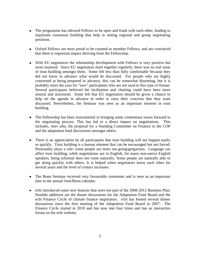- The programme has allowed Fellows to be open and frank with each other, leading to important consensus building that help in setting regional and group negotiating positions.
- Oxford Fellows are most proud to be counted as member Fellows, and are convinced that there is important impact deriving from the Fellowship.
- With EU negotiators the relationship development with Fellows is very positive but more nuanced. Since EU negotiators meet together regularly, there was no real issue of trust building amongst them. Some felt less than fully comfortable because they did not know in advance what would be discussed. For people who are highly concerned at being prepared in advance, this can be somewhat disarming, but it is probably more the case for "new" participants who are not used to this type of format. Several participants believed the facilitation and chairing could have been more neutral and structured. Some felt that EU negotiators should be given a chance to help set the agenda in advance in order to raise their concerns that they want discussed. Nevertheless, the Seminar was seen as an important element in trust building.
- The Fellowship has been instrumental in bringing some contentious issues forward in  $\bullet$ the negotiating process. This has led to a direct impact on negotiations. This includes, *inter alia*, the proposal for a Standing Committee on Finance in the COP and the adaptation fund discussions amongst others.
- There is an appreciation by all participants that trust building will not happen easily or quickly. Trust building is a human element that can be encouraged but not forced. Personality plays a role: some people are more out-going/gregarious. Language can affect trust building; while negotiations are in English, for many non-native English speakers, being informal does not come naturally. Some people are naturally able to get along quickly with others. It is helped when negotiators know each other for several years and the level of contact increases.
- The Bonn Seminar received very favourable comments and is seen as an important date in the annual June/Bonn calendar.
- ecbi introduced some new features that were not part of the 2008-2012 Business Plan. Notable additions are the dinner discussions for the Adaptation Fund Board and the ecbi Finance Circle of climate finance negotiators. ecbi has hosted several dinner discussions since the first meeting of the Adaptation Fund Board in 2007. The Finance Circle started in 2010 and has now met four times and has an interactive forum on the ecbi website.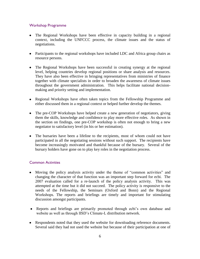# Workshop Programme

- The Regional Workshops have been effective in capacity building in a regional context, including the UNFCCC process, the climate issues and the status of negotiations.
- Participants to the regional workshops have included LDC and Africa group chairs as resource persons.
- The Regional Workshops have been successful in creating synergy at the regional level, helping countries develop regional positions or share analysis and resources. They have also been effective in bringing representatives from ministries of finance together with climate specialists in order to broaden the awareness of climate issues throughout the government administration. This helps facilitate national decisionmaking and priority setting and implementation.
- Regional Workshops have often taken topics from the Fellowship Programme and either discussed them in a regional context or helped further develop the themes.
- The pre-COP Workshops have helped create a new generation of negotiators, giving them the skills, knowledge and confidence to play more effective roles. As shown in the section on findings, one pre-COP workshop is often not enough to bring a new negotiator to satisfactory level (in his or her estimation).
- The bursaries have been a lifeline to the recipients, most of whom could not have participated in all the negotiating sessions without such support. The recipients have become increasingly motivated and thankful because of the bursary. Several of the bursary holders have gone on to play key roles in the negotiation process.

# Common Activities

- Moving the policy analysis activity under the theme of "common activities" and changing the character of that function was an important step forward for ecbi. The 2007 evaluation called for a re-launch of the policy analysis activity. This was attempted at the time but it did not succeed. The policy activity is responsive to the needs of the Fellowship, the Seminars (Oxford and Bonn) and the Regional Workshops. The reports and briefings are timely and important for stimulating discussion amongst participants.
- Reports and briefings are primarily promoted through ecbi's own database and website as well as through IISD"s Climate-L distribution network.
- Respondents noted that they used the website for downloading reference documents. Several said they had not used the website but because of their participation at one of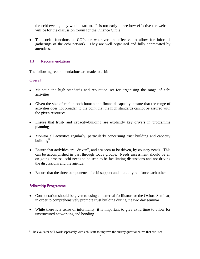the ecbi events, they would start to. It is too early to see how effective the website will be for the discussion forum for the Finance Circle.

The social functions at COPs or wherever are effective to allow for informal gatherings of the ecbi network. They are well organised and fully appreciated by attendees.

# 1.3 Recommendations

The following recommendations are made to ecbi:

# **Overall**

- Maintain the high standards and reputation set for organising the range of ecbi activities
- Given the size of ecbi in both human and financial capacity, ensure that the range of activities does not broaden to the point that the high standards cannot be assured with the given resources
- Ensure that trust- and capacity-building are explicitly key drivers in programme planning
- Monitor all activities regularly, particularly concerning trust building and capacity building $3$
- Ensure that activities are "driven", and are seen to be driven, by country needs. This can be accomplished in part through focus groups. Needs assessment should be an on-going process. ecbi needs to be seen to be facilitating discussions and not driving the discussions and the agenda.
- Ensure that the three components of ecbi support and mutually reinforce each other

# Fellowship Programme

- Consideration should be given to using an external facilitator for the Oxford Seminar, in order to comprehensively promote trust building during the two day seminar
- While there is a sense of informality, it is important to give extra time to allow for unstructured networking and bonding

 $\overline{a}$  $3$  The evaluator will work separately with ecbi staff to improve the survey questionnaires that are used.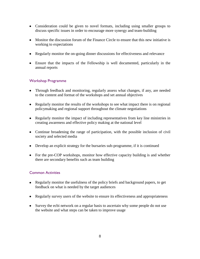- Consideration could be given to novel formats, including using smaller groups to discuss specific issues in order to encourage more synergy and team-building
- Monitor the discussion forum of the Finance Circle to ensure that this new initiative is working to expectations
- Regularly monitor the on-going dinner discussions for effectiveness and relevance
- Ensure that the impacts of the Fellowship is well documented, particularly in the annual reports

# Workshop Programme

- Through feedback and monitoring, regularly assess what changes, if any, are needed to the content and format of the workshops and set annual objectives
- Regularly monitor the results of the workshops to see what impact there is on regional policymaking and regional support throughout the climate negotiations
- Regularly monitor the impact of including representatives from key line ministries in creating awareness and effective policy making at the national level
- Continue broadening the range of participation, with the possible inclusion of civil society and selected media
- Develop an explicit strategy for the bursaries sub-programme, if it is continued
- For the pre-COP workshops, monitor how effective capacity building is and whether there are secondary benefits such as team building

# Common Activities

- Regularly monitor the usefulness of the policy briefs and background papers, to get feedback on what is needed by the target audiences
- Regularly survey users of the website to ensure its effectiveness and appropriateness
- Survey the ecbi network on a regular basis to ascertain why some people do not use the website and what steps can be taken to improve usage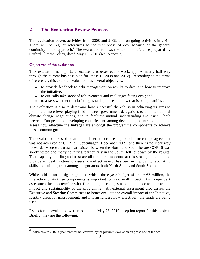# **2 The Evaluation Review Process**

This evaluation covers activities from 2008 and 2009, and on-going activities in 2010. There will be regular references to the first phase of ecbi because of the general continuity of the approach.<sup>4</sup> The evaluation follows the terms of reference prepared by Oxford Climate Policy, dated May 13, 2010 (see Annex 2).

# Objectives of the evaluation

This evaluation is important because it assesses ecbi"s work, approximately half way through the current business plan for Phase II (2008 and 2012). According to the terms of reference, this external evaluation has several objectives:

- to provide feedback to ecbi management on results to date, and how to improve the initiative;
- to critically take stock of achievements and challenges facing ecbi; and,
- to assess whether trust building is taking place and how that is being manifest.

The evaluation is also to determine how successful the ecbi is in achieving its aims to promote a more level playing field between government delegations to the international climate change negotiations, and to facilitate mutual understanding and trust – both between European and developing countries and among developing countries. It aims to assess how effective the linkages are amongst the programme components to achieve these common goals.

This evaluation takes place at a crucial period because a global climate change agreement was not achieved at COP 15 (Copenhagen, December 2009) and there is no clear way forward. Moreover, trust that existed between the North and South before COP 15 was sorely tested and many countries, particularly in the South, felt let down by the results. Thus capacity building and trust are all the more important at this strategic moment and provide an ideal juncture to assess how effective ecbi has been in improving negotiating skills and building trust amongst negotiators, both North-South and South-South.

While ecbi is not a big programme with a three-year budget of under  $\epsilon$ 2 million, the interaction of its three components is important for its overall impact. An independent assessment helps determine what fine-tuning or changes need to be made to improve the impact and sustainability of the programme. An external assessment also assists the Executive and Steering Committees to better evaluate the overall impact of the Initiative, identify areas for improvement, and inform funders how effectively the funds are being used.

Issues for the evaluation were raised in the May 28, 2010 inception report for this project. Briefly, they are the following:

 4 It also covers 2007, a year that was not covered by the previous evaluation on phase one of the ecbi.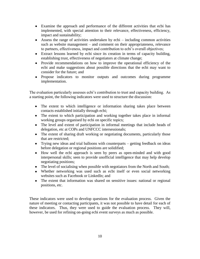- Examine the approach and performance of the different activities that ecbi has implemented, with special attention to their relevance, effectiveness, efficiency, impact and sustainability;
- Assess the range of activities undertaken by ecbi including common activities such as website management – and comment on their appropriateness, relevance to partners, effectiveness, impact and contribution to ecbi"s overall objectives;
- Extract lessons learned by ecbi since its creation in terms of capacity building, establishing trust, effectiveness of negotiators at climate change;
- Provide recommendations on how to improve the operational efficiency of the ecbi and make suggestions about possible directions that the ecbi may want to consider for the future; and
- Propose indicators to monitor outputs and outcomes during programme implementation.

The evaluation particularly assesses ecbi"s contribution to trust and capacity building. As a starting point, the following indicators were used to structure the discussion:

- The extent to which intelligence or information sharing takes place between contacts established initially through ecbi;
- The extent to which participation and working together takes place in informal working groups organised by ecbi on specific topics;
- The level and extent of participation in informal meetings that include heads of delegation, etc at COPs and UNFCCC intersessionals;
- The extent of sharing draft working or negotiating documents, particularly those that are restricted;
- Trying new ideas and trial balloons with counterparts getting feedback on ideas before delegation or regional positions are solidified;
- How well the ecbi approach is seen by peers as open-minded and with good interpersonal skills; seen to provide unofficial intelligence that may help develop negotiating positions;
- The level of socialising when possible with negotiators from the North and South;
- Whether networking was used such as ecbi itself or even social networking websites such as Facebook or LinkedIn; and
- The extent that information was shared on sensitive issues: national or regional positions, etc.

These indicators were used to develop questions for the evaluation process. Given the nature of meeting or contacting participants, it was not possible to have detail for each of these indicators. Thus, they were used to guide the evaluation process. They will, however, be used for refining on-going ecbi event surveys as much as possible.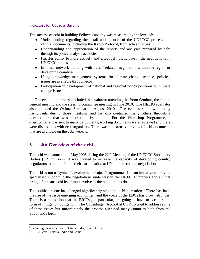#### Indicators for Capacity Building

The success of ecbi in building Fellows capacity was measured by the level of:

- Understanding regarding the detail and nuances of the UNFCCC process and official documents, including the Kyoto Protocol, from ecbi activities
- Understanding and appreciation of the reports and analyses prepared by ecbi through its policy analysis activities
- His/Her ability to more actively and effectively participate in the negotiations in UNFCCC bodies
- Informal network building with other "related" negotiators within the region or developing countries
- Using knowledge management systems for climate change science, policies, issues are available through ecbi
- Participation in development of national and regional policy positions on climate change issues

The evaluation process included the evaluator attending the Bonn Seminar, the annual general meeting and the steering committee meeting in June 2010. The HELIO evaluator also attended the Oxford Seminar in August 2010. The evaluator met with many participants during those meetings and he also contacted many others through a questionnaire that was distributed by email. For the Workshop Programme, a questionnaire was sent to many participants, working documents were reviewed and there were discussions with ecbi organisers. There was an extensive review of ecbi documents that are available on the ecbi website.

# **3 An Overview of the ecbi**

The ecbi was launched in May 2005 during the  $22<sup>nd</sup>$  Meeting of the UNFCCC Subsidiary Bodies (SB) in Bonn. It was created to increase the capacity of developing country negotiators to help facilitate their participation at UN climate change negotiations.

The ecbi is not a "typical" development project/programme. It is an initiative to provide specialised support to the negotiations underway in the UNFCCC process and all that brings. It means ecbi itself must evolve as the negotiations do.

The political scene has changed significantly since the ecbi's creation. There has been the rise of the large emerging economies<sup>5</sup> and the voice of the LDCs has grown stronger. There is a realisation that the BRICs<sup>6</sup>, in particular, are going to have to accept some form of mitigation obligation. The Copenhagen Accord at COP 15 tried to address some of these issues but unfortunately the process alienated many countries both from the South and North.

 $\overline{a}$ 

<sup>&</sup>lt;sup>5</sup> Including, inter alia, Brazil, China, India, South Africa

<sup>6</sup> BRIC: Brazil, Russia, India and China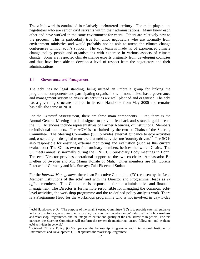The ecbi's work is conducted in relatively unchartered territory. The main players are negotiators who are senior civil servants within their administrations. Many know each other and have worked in the same environment for years. Others are relatively new to the process. This is particularly true for junior negotiators who are normally from environment ministries and would probably not be able to attend the climate change conferences without ecbi"s support. The ecbi team is made up of experienced climate change policy people and organisations with expertise in various aspects of climate change. Some are respected climate change experts originally from developing countries and thus have been able to develop a level of respect from the negotiators and their administrations.

# 3.1 Governance and Management

 $\overline{a}$ 

The ecbi has no legal standing, being instead an umbrella group for linking the programme components and participating organisations. It nonetheless has a governance and management system to ensure its activities are well planned and organised. The ecbi has a governing structure outlined in its ecbi Handbook from May 2005 and remains basically the same in 2010.

For the *External Management*, there are three main components. First, there is the Annual General Meeting that is designed to provide feedback and strategic guidance to the EC. Attendees include representatives of Partner Agencies, of institutional Members or individual members. The AGM is co-chaired by the two co-Chairs of the Steering Committee. The Steering Committee (SC) provides external guidance to ecbi activities and, essentially, is designed to ensure that ecbi activities are 'country driven.'<sup>7</sup> The SC is also responsible for ensuring external monitoring and evaluation (such as this current evaluation.) The SC has two to four ordinary members, besides the two co-Chairs. The SC meets annually, normally during the UNFCCC Subsidiary Body meetings in Bonn. The ecbi Director provides operational support to the two co-chair: Ambassador Bo Kjellen of Sweden and Mr. Mama Konaté of Mali. Other members are Mr. Lorenz Petersen of Germany and Ms. Sumaya Zaki Eldeen of Sudan.

For the *Internal Management*, there is an Executive Committee (EC), chosen by the Lead Member Institutions of the ecbi<sup>8</sup> and with the Director and Programme Heads as  $ex$ *officio* members. This Committee is responsible for the administrative and financial management. The Director is furthermore responsible for managing the common, ecbilevel activities, the workshop programme and the re-defined policy analysis work. There is a Programme Head for the workshops programme who is not involved in day-to-day

 $^7$  ecbi Handbook, p. 3. "The purpose of the small Steering Committee (SC) is to provide external guidance to the ecbi activities, as required, in particular, to ensure the "country driven" nature of the Policy Analysis and Workshop Programmes, and the integrated nature and quality of the ecbi activities in general. For this purpose, the Steering Committee will perform the (external) monitoring, ensure follow-up, and evaluate ecbi activities in general."

<sup>&</sup>lt;sup>8</sup> Oxford Climate Policy (OCP) operates the Fellowship Programme and International Institute for Environment and Development (IIED) operates the Workshop Programme.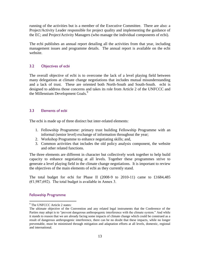running of the activities but is a member of the Executive Committee. There are also: a Project/Activity Leader responsible for project quality and implementing the guidance of the EC; and Project/Activity Managers (who manage the individual components of ecbi).

The ecbi publishes an annual report detailing all the activities from that year, including management issues and programme details. The annual report is available on the ecbi website.

#### 3.2 Objectives of ecbi

The overall objective of ecbi is to overcome the lack of a level playing field between many delegations at climate change negotiations that includes mutual misunderstanding and a lack of trust. These are oriented both North-South and South-South. ecbi is designed to address those concerns and takes its role from Article 2 of the UNFCCC and the Millennium Development Goals.<sup>9</sup>

### 3.3 Elements of ecbi

The ecbi is made up of three distinct but inter-related elements:

- 1. Fellowship Programme: primary trust building Fellowship Programme with an informal (senior level) exchange of information throughout the year;
- 2. Workshop Programme to enhance negotiating skills; and,
- 3. Common activities that includes the old policy analysis component, the website and other related functions.

The three elements are different in character but collectively work together to help build capacity to enhance negotiating at all levels. Together these programmes strive to generate a level playing field in the climate change negotiations. It is important to review the objectives of the main elements of ecbi as they currently stand.

The total budget for ecbi for Phase II (2008-9 to 2010-11) came to £1684,485  $(€1,987,692)$ . The total budget is available in Annex 3.

#### Fellowship Programme

 $\overline{a}$ 

<sup>&</sup>lt;sup>9</sup> The UNFCCC Article 2 states:

The ultimate objective of the Convention and any related legal instruments that the Conference of the Parties may adopt is to "prevent dangerous anthropogenic interference with the climate system." And while it stands to reason that we are already facing some impacts of climate change which could be construed as a result of dangerous anthropogenic interference, there can be no doubt that these impacts, while no longer preventable, must be minimised through mitigation and adaptation efforts at all levels, domestic, regional and international.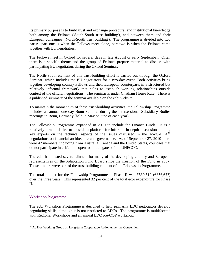Its primary purpose is to build trust and exchange procedural and institutional knowledge both among the Fellows ('South-South trust building'), and between them and their European colleagues ('North-South trust building'). The programme is divided into two parts: part one is when the Fellows meet alone, part two is when the Fellows come together with EU negotiators.

The Fellows meet in Oxford for several days in late August or early September. Often there is a specific theme and the group of Fellows prepare material to discuss with participating EU negotiators during the Oxford Seminar.

The North-South element of this trust-building effort is carried out through the Oxford Seminar, which includes the EU negotiators for a two-day event. Both activities bring together developing country Fellows and their European counterparts in a structured but relatively informal framework that helps to establish working relationships outside context of the official negotiations. The seminar is under Chatham House Rule. There is a published summary of the seminar available on the ecbi website.

To maintain the momentum of these trust-building activities, the Fellowship Programme includes an annual one-day Bonn Seminar during the intersessional Subsidiary Bodies meetings in Bonn, Germany (held in May or June of each year).

The Fellowship Programme expanded in 2010 to include the Finance Circle. It is a relatively new initiative to provide a platform for informal in-depth discussions among key experts on the technical aspects of the issues discussed in the AWG-LCA<sup>10</sup> negotiations on financial architecture and governance. As of September 27, 2010 there were 47 members, including from Australia, Canada and the United States, countries that do not participate in ecbi. It is open to all delegates of the UNFCCC.

The ecbi has hosted several dinners for many of the developing country and European representatives on the Adaptation Fund Board since the creation of the Fund in 2007. These dinners were part of the trust building element of the Fellowship Programme.

The total budget for the Fellowship Programme in Phase II was £539,519 ( $6636,632$ ) over the three years. This represented 32 per cent of the total ecbi expenditure for Phase II.

#### Workshop Programme

 $\overline{a}$ 

The ecbi Workshop Programme is designed to help primarily LDC negotiators develop negotiating skills, although it is not restricted to LDCs. The programme is multifaceted with Regional Workshops and an annual LDC pre-COP workshop.

<sup>&</sup>lt;sup>10</sup> Ad Hoc Working Group on Long-term Cooperative Action under the Convention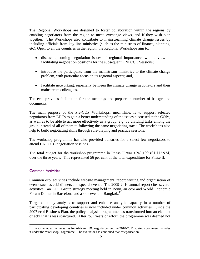The Regional Workshops are designed to foster collaboration within the regions by enabling negotiators from the region to meet, exchange views, and if they wish plan together. The Workshops also contribute to mainstreaming climate change issues by including officials from key line ministries (such as the ministries of finance, planning, etc). Open to all the countries in the region, the Regional Workshops aim to:

- discuss upcoming negotiation issues of regional importance, with a view to facilitating negotiation positions for the subsequent UNFCCC Sessions;
- introduce the participants from the mainstream ministries to the climate change problem, with particular focus on its regional aspects; and,
- facilitate networking, especially between the climate change negotiators and their mainstream colleagues.

The ecbi provides facilitation for the meetings and prepares a number of background documents.

The main purpose of the Pre-COP Workshops, meanwhile, is to support selected negotiators from LDCs to gain a better understanding of the issues discussed at the COPs, as well as to be able to act more effectively as a group, e.g. by dividing tasks among the group instead of all of them to following the same negotiating track. The workshops also help to build negotiating skills through role-playing and practice sessions.

The workshop programme has also provided bursaries for a select few negotiators to attend UNFCCC negotiation sessions.

The total budget for the workshop programme in Phase II was £943,199 ( $\epsilon$ 1,112,974) over the three years. This represented 56 per cent of the total expenditure for Phase II.

#### Common Activities

 $\overline{a}$ 

Common ecbi activities include website management, report writing and organisation of events such as ecbi dinners and special events. The 2009-2010 annual report cites several activities: an LDC Group strategy meeting held in Bonn, an ecbi and World Economic Forum Dinner in Barcelona and a side event in Bangkok.<sup>11</sup>

Targeted policy analysis to support and enhance analytic capacity in a number of participating developing countries is now included under common activities. Since the 2007 ecbi Business Plan, the policy analysis programme has transformed into an element of ecbi that is less structured. After four years of effort, the programme was deemed not

 $11$  It also included the bursaries for African LDC negotiators but the 2010-2011 strategy document includes it under the Workshop Programme. The evaluator has continued that categorisation.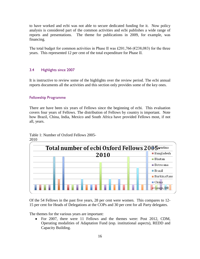to have worked and ecbi was not able to secure dedicated funding for it. Now policy analysis is considered part of the common activities and ecbi publishes a wide range of reports and presentations. The theme for publications in 2009, for example, was financing.

The total budget for common activities in Phase II was £201,766 ( $\epsilon$ 238,083) for the three years. This represented 12 per cent of the total expenditure for Phase II.

#### 3.4 Highlights since 2007

It is instructive to review some of the highlights over the review period. The ecbi annual reports documents all the activities and this section only provides some of the key ones.

#### Fellowship Programme

There are have been six years of Fellows since the beginning of ecbi. This evaluation covers four years of Fellows. The distribution of Fellows by country is important. Note how Brazil, China, India, Mexico and South Africa have provided Fellows most, if not all, years.

#### Table 1: Number of Oxford Fellows 2005- 2010



Of the 54 Fellows in the past five years, 28 per cent were women. This compares to 12- 15 per cent for Heads of Delegations at the COPs and 30 per cent for all Party delegates.

The themes for the various years are important:

• For 2007, there were 11 Fellows and the themes were: Post 2012, CDM, Operating modalities of Adaptation Fund (esp. institutional aspects), REDD and Capacity Building.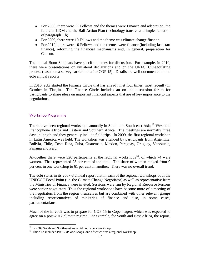- For 2008, there were 11 Fellows and the themes were Finance and adaptation, the future of CDM and the Bali Action Plan (technology transfer and implementation of paragraph 1.b)
- For 2009, there were 10 Fellows and the theme was climate change finance
- For 2010, there were 10 Fellows and the themes were finance (including fast start finance), reforming the financial mechanisms and, in general, preparation for Cancun.

The annual Bonn Seminars have specific themes for discussion. For example, in 2010, there were presentations on unilateral declarations and on the UNFCCC negotiating process (based on a survey carried out after COP 15). Details are well documented in the ecbi annual reports

In 2010, ecbi started the Finance Circle that has already met four times, most recently in October in Tianjin. The Finance Circle includes an on-line discussion forum for participants to share ideas on important financial aspects that are of key importance to the negotiations.

# Workshop Programme

 $\overline{a}$ 

There have been regional workshops annually in South and South-east Asia,  $^{12}$  West and Francophone Africa and Eastern and Southern Africa. The meetings are normally three days in length and they generally include field trips. In 2009, the first regional workshop in Latin America was held. The workshop was attended by participants from Argentina, Bolivia, Chile, Costa Rica, Cuba, Guatemala, Mexico, Paraguay, Uruguay, Venezuela, Panama and Peru.

Altogether there were 326 participants at the regional workshops<sup>13</sup>, of which 74 were women. That represented 23 per cent of the total. The share of women ranged from 0 per cent in one workshop to 61 per cent in another. There was no overall trend.

The ecbi states in its 2007-8 annual report that in each of the regional workshops both the UNFCCC Focal Point (i.e. the Climate Change Negotiator) as well as representative from the Ministries of Finance were invited. Sessions were run by Regional Resource Persons were senior negotiators. Thus the regional workshops have become more of a meeting of the negotiators from the region themselves but are combined with other relevant groups including representatives of ministries of finance and also, in some cases, parliamentarians.

Much of the in 2009 was to prepare for COP 15 in Copenhagen, which was expected to agree on a post-2012 climate regime. For example, for South and East Africa, the report,

<sup>&</sup>lt;sup>12</sup> In 2009 South and South-east Asia did not have a workshop.

<sup>&</sup>lt;sup>13</sup> This also included Pre-COP workshops, one of which was a regional workshop.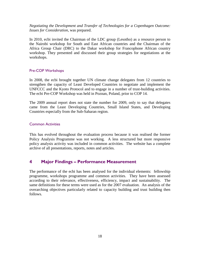*Negotiating the Development and Transfer of Technologies for a Copenhagen Outcome: Issues for Consideration*, was prepared.

In 2010, ecbi invited the Chairman of the LDC group (Lesotho) as a resource person to the Nairobi workshop for South and East African countries and the Chairman of the Africa Group Chair (DRC) to the Dakar workshop for Francophone African country workshop. They presented and discussed their group strategies for negotiations at the workshops.

#### Pre-COP Workshops

In 2008, the ecbi brought together UN climate change delegates from 12 countries to strengthen the capacity of Least Developed Countries to negotiate and implement the UNFCCC and the Kyoto Protocol and to engage in a number of trust-building activities. The ecbi Pre-COP Workshop was held in Poznan, Poland, prior to COP 14.

The 2009 annual report does not state the number for 2009, only to say that delegates came from the Least Developing Countries, Small Island States, and Developing Countries especially from the Sub-Saharan region.

#### Common Activities

This has evolved throughout the evaluation process because it was realised the former Policy Analysis Programme was not working. A less structured but more responsive policy analysis activity was included in common activities. The website has a complete archive of all presentations, reports, notes and articles.

# **4 Major Findings – Performance Measurement**

The performance of the ecbi has been analysed for the individual elements: fellowship programme, workshops programme and common activities. They have been assessed according to their relevance, effectiveness, efficiency, impact and sustainability. The same definitions for these terms were used as for the 2007 evaluation. An analysis of the overarching objectives particularly related to capacity building and trust building then follows.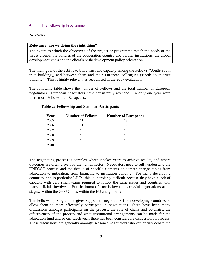#### 4.1 The Fellowship Programme

#### **Relevance**

#### **Relevance: are we doing the right thing?**

The extent to which the objectives of the project or programme match the needs of the target groups, the policies of the cooperation country and partner institutions, the global development goals and the client"s basic development policy orientation.

The main goal of the ecbi is to build trust and capacity among the Fellows ('South-South trust building'), and between them and their European colleagues ('North-South trust building'). This is highly relevant, as recognised in the 2007 evaluation.

The following table shows the number of Fellows and the total number of European negotiators. European negotiators have consistently attended. In only one year were there more Fellows than Europeans.

| Year | <b>Number of Fellows</b> | <b>Number of Europeans</b> |
|------|--------------------------|----------------------------|
| 2005 |                          | 13                         |
| 2006 |                          | 19                         |
| 2007 | 13                       |                            |
| 2008 |                          | 18                         |
| 2009 |                          |                            |
| 2010 |                          |                            |

#### **Table 2: Fellowship and Seminar Participants**

The negotiating process is complex where it takes years to achieve results, and where outcomes are often driven by the human factor. Negotiators need to fully understand the UNFCCC process and the details of specific elements of climate change topics from adaptation to mitigation, from financing to institution building. For many developing countries, and in particular LDCs, this is incredibly difficult because they have a lack of capacity with very small teams required to follow the same issues and countries with many officials involved. But the human factor is key to successful negotiations at all stages: within the G77+China, within the EU and globally.

The Fellowship Programme gives support to negotiators from developing countries to allow them to more effectively participate in negotiations. There have been many discussions amongst participants on the process, the role of chairs and co-chairs, the effectiveness of the process and what institutional arrangements can be made for the adaptation fund and so on. Each year, there has been considerable discussion on process. These discussions are generally amongst seasoned negotiators who can openly debate the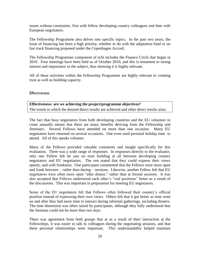issues without constraints, first with fellow developing country colleagues and then with European negotiators.

The Fellowship Programme also delves into specific topics. In the past two years, the issue of financing has been a high priority, whether to do with the adaptation fund or on fast track financing proposed under the Copenhagen Accord.

The Fellowship Programme component of ecbi includes the Finance Circle that began in 2010. Four meetings have been held as of October 2010, and this is testament to strong interest and importance in the subject, thus showing it is highly relevant.

All of these activities within the Fellowship Programme are highly relevant to creating trust as well as building capacity.

#### **Effectiveness**

**Effectiveness: are we achieving the project/programme objectives?**  The extent to which the desired direct results are achieved and other direct results arise.

The fact that busy negotiators from both developing countries and the EU volunteer to come annually means that there are many benefits deriving from the Fellowship and Seminars. Several Fellows have attended on more than one occasion. Many EU negotiators have returned on several occasions. One even used personal holiday time to attend. All of this speaks volumes.

Many of the Fellows provided valuable comments and insight specifically for this evaluation. There was a wide range of responses. In responses directly to the evaluator, only one Fellow felt he saw no trust building at all between developing country negotiators and EU negotiators. The rest stated that they could express their views openly, and with frankness. One participant commented that the Fellows were more open and frank between – rather than during – sessions. Likewise, another Fellow felt that EU negotiators were often more open "after dinner," rather than at formal sessions. It was also accepted that Fellows understood each other"s "real positions" better as a result of the discussions. This was important in preparation for meeting EU negotiators.

Some of the EU negotiators felt that Fellows often followed their country"s official position instead of expressing their own views. Others felt that it got better as time went on and after they had more time to interact during informal gatherings, including dinners. The time dimension was often raised by participants, although they fully understood that the Seminar could not be more than two days.

There was agreement from both groups that at as a result of their interaction at the Fellowships, it was easier to talk to colleagues during the negotiating sessions, and that these personal relationships were important. This understandably helped maintain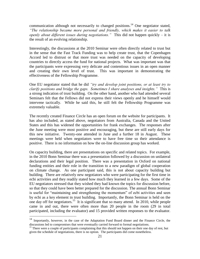communication although not necessarily to changed positions.<sup>14</sup> One negotiator stated, *"The relationship became more personal and friendly, which makes it easier to talk openly about different issues during negotiations."* This did not happen quickly – it is the result of an evolving relationship.

Interestingly, the discussions at the 2010 Seminar were often directly related to trust but in the sense that the Fast Track Funding was to help create trust, that the Copenhagen Accord led to distrust or that more trust was needed on the capacity of developing countries to directly access the fund for national projects. What was important was that the participants were expressing very delicate and contentious issues in an open manner and creating their own level of trust. This was important in demonstrating the effectiveness of the Fellowship Programme.

One EU negotiator stated that he did *"try and develop joint positions, or at least try to clarify positions and bridge the gaps. Sometimes I share analyses and insights."* This is a strong indication of trust building. On the other hand, another who had attended several Seminars felt that the Fellows did not express their views openly and he himself would intervene tactically. While he said this, he still felt the Fellowship Programme was extremely valuable.

The recently created Finance Circle has an open forum on the website for participants. It has also included, as stated above, negotiators from Australia, Canada and the United States and this has widened the opportunities for frank exchanges. The responses after the June meeting were most positive and encouraging, but these are still early days for this new initiative. Twenty-one attended in June and a further 18 in August. These meetings were held when negotiators were to have free time so their attendance is positive. There is no information on how the on-line discussion group has worked.

On capacity building, there are presentations on specific and related topics. For example, in the 2010 Bonn Seminar there was a presentation followed by a discussion on unilateral declarations and their legal position. There was a presentation in Oxford on national funding entities and their role in the transition to a new paradigm of global cooperation on climate change. As one participant said, this is not about capacity building but building. There are relatively new negotiators who were participating for the first time in ecbi activities and they readily stated how much they learned in a few days. Some of the EU negotiators stressed that they wished they had known the topics for discussion before, so that they could have been better prepared for the discussion. The annual Bonn Seminar is useful for "maintaining and strengthening the momentum" of ecbi activities and seen by ecbi as a key element in trust building. Importantly, the Bonn Seminar is held on the one day off for negotiators.<sup>15</sup> It is significant that so many attend. In 2010, while people came in and out, there were often more than 20 people in the room (29 in total participated, including the evaluator) and 15 provided written responses to the evaluator.

 $\overline{a}$ 

 $14$  Importantly, however, in the case of the Adaptation Fund Board dinner and the Finance Circle, the discussions led to compromises that were eventually carried forward to formal negotiations.

<sup>&</sup>lt;sup>15</sup> There were a couple of participants complaining that this should not happen on their one day of rest, but given the schedule of negotiations, there is no option. The participants did come nonetheless.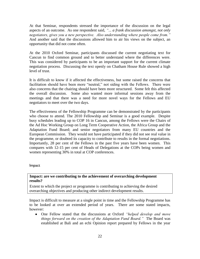At that Seminar, respondents stressed the importance of the discussion on the legal aspects of an outcome. As one respondent said, *"... a frank discussion amongst, not only negotiators, gives you a new perspective. Also understanding where people come from."* And another said that the discussions allowed him to air his views on the subject, an opportunity that did not come often.

At the 2010 Oxford Seminar, participants discussed the current negotiating text for Cancun to find common ground and to better understand where the differences were. This was considered by participants to be an important support for the current climate negotiation process. Discussing the text openly on Chatham House Rule showed a high level of trust.

It is difficult to know if it affected the effectiveness, but some raised the concerns that facilitation should have been more "neutral," not siding with the Fellows. There were also concerns that the chairing should have been more structured. Some felt this affected the overall discussion. Some also wanted more informal sessions away from the meetings and that there was a need for more novel ways for the Fellows and EU negotiators to meet over the two days.

The effectiveness of the Fellowship Programme can be demonstrated by the participants who choose to attend. The 2010 Fellowship and Seminar is a good example. Despite busy schedules leading up to COP 16 in Cancun, among the Fellows were the Chairs of the Ad Hoc Working Group on Long Term Cooperative Action, the Africa Group and the Adaptation Fund Board; and senior negotiators from many EU countries and the European Commission. They would not have participated if they did not see real value in the programme, or doubted its capacity to contribute to results in the formal negotiations. Importantly, 28 per cent of the Fellows in the past five years have been women. This compares with 12-15 per cent of Heads of Delegations at the COPs being women and women representing 30% in total at COP conferences.

Impact

#### **Impact: are we contributing to the achievement of overarching development results?**

Extent to which the project or programme is contributing to achieving the desired overarching objectives and producing other indirect development results.

Impact is difficult to measure at a single point in time and the Fellowship Programme has to be looked at over an extended period of years. There are some stated impacts, however:

One Fellow stated that the discussions at Oxford *"helped develop and move things forward on the creation of the Adaptation Fund Board."* The Board was established at Bali and an ecbi Opinion report prepared by Fellows in the year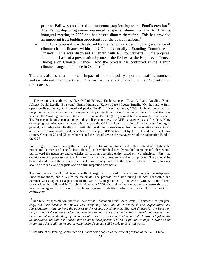prior to Bali was considered an important step leading to the Fund's creation.<sup>16</sup> The Fellowship Programme organised a special dinner for the AFB at its inaugural meeting in 2008 and has hosted dinners thereafter. This has provided an important trust building opportunity for the board members.<sup>17</sup>

In 2010, a proposal was developed by the Fellows concerning the governance of  $\bullet$ climate change finance within the COP – essentially a Standing Committee on Finance. This was discussed at length with EU counterparts. This proposal formed the basis of a presentation by one of the Fellows at the High Level Geneva Dialogue on Climate Finance. And the process has continued at the Tianjin climate change conference in October.<sup>18</sup>

There has also been an important impact of the draft policy reports on staffing numbers and on national funding entities. This has had the effect of changing the US position on direct access.

Following a discussion during the Fellowship, developing countries decided that instead of debating the merits and de-merits of specific institutions (a path which had already resulted in stalemate), they would put forward the necessary characteristics for such an operating entity, based on two principles: First, the decision-making processes of the AF should be flexible, transparent and uncomplicated. They should be balanced and reflect the needs of the developing country Parties to the Kyoto Protocol. Second, funding should be reliable and adequate and on a full adaptation cost basis.

The discussion at the Oxford Seminar with EU negotiators proved to be a turning point in the Adaptation Fund negotiations, and a key to the stalemate. The proposal discussed during the ecbi Fellowship and Seminar was adopted as a position in the UNFCCC negotiations by the Africa Group. At the formal negotiations that followed in Nairobi in November 2006, discussions were much more constructive as all key Parties agreed to focus on principle and general modalities, rather than on the "GEF or not GEF" controversy.

 $\overline{a}$ 

<sup>&</sup>lt;sup>16</sup> The report was authored by five Oxford Fellows: Enele Sopoaga (Tuvalu), Lydia Greyling (South Africa), David Lesolle (Botswana), Emily Massawa (Kenya), José Miguez (Brazil), "On the road to Bali: operationalising the Kyoto Protocol Adaptation Fund", IIED/ecbi Opinion, 2006. It should be added that the governance issue for the Fund was particularly contentious. One of the main points of contention was whether the Washington-based Global Environment Facility (GEF) should be managing the Fund or not. The European Union, Japan and other industrialised countries, saw GEF management as self-evident. Many developing countries were unhappy with the way the GEF had been managing climate change funding in general, and adaptation funding in particular, with the consequence that the negotiations were in an apparently insurmountable stalemate between the pro-GEF faction led by the EU, and the developing country Group of 77 and China, who rejected the idea of giving the management of the Adaptation Fund to the GEF.

<sup>17</sup> In a letter of appreciation, the first Chair of the Adaptation Fund Board says: *This process was far from easy, not least because the Board was completely new, and of extremely diverse expectations and representation, ranging from the poorest to the richest constituencies. The ecbi dinners for the Board on the first day of the sessions helped the members to get to know each other in a congenial atmosphere and build mutual understanding of the issues at stake in a more relaxed mood, which was helpful in the deliberations that followed. Indeed, these dinners have proven to be so useful that we hope we will be able to continue this tradition, of course voluntarily if you can still be able to cover the costs*.

<sup>&</sup>lt;sup>18</sup> The idea of a Standing Committee on Finance was adopted as the official position of the G77+China.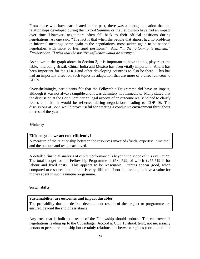From those who have participated in the past, there was a strong indication that the relationships developed during the Oxford Seminar or the Fellowship have had an impact over time. However, negotiators often fall back to their official positions during negotiations. As one said, "The fact is that when the people that almost had no problems in informal meetings come again to the negotiations, most switch again to be national negotiators with more or less rigid positions." And *"... the follow-up is difficult." Furthermore, "I wish that the positive influence would be stronger."*

As shown in the graph above in Section 3, it is important to have the big players at the table. Including Brazil, China, India and Mexico has been vitally important. And it has been important for the LDCs and other developing countries to also be there. This has had an important effect on such topics as adaptation that are more of a direct concern to LDCs.

Overwhelmingly, participants felt that the Fellowship Programme did have an impact, although it was not always tangible and it was definitely not immediate. Many stated that the discussion at the Bonn Seminar on legal aspects of an outcome really helped to clarify issues and that it would be reflected during negotiations leading to COP 16. The discussions at Bonn would prove useful for creating a conducive environment throughout the rest of the year.

#### **Efficiency**

#### **Efficiency: do we act cost-efficiently?**

A measure of the relationship between the resources invested (funds, expertise, time etc.) and the outputs and results achieved.

A detailed financial analysis of ecbi"s performance is beyond the scope of this evaluation. The total budget for the Fellowship Programme is £539,529, of which £275,719 is for labour and fixed costs. This appears to be reasonable. Outputs appear good, when compared to resource inputs but it is very difficult, if not impossible, to have a value for money spent in such a unique programme.

#### **Sustainability**

#### **Sustainability: are outcomes and impact durable?**

The probability that the desired development results of the project or programme are ensured beyond the end of assistance.

Any trust that is built as a result of the Fellowship should endure. The controversial negotiations leading up to the Copenhagen Accord at COP 15 shook trust, not necessarily person to person relationship but certainly relationships between regions (north-south but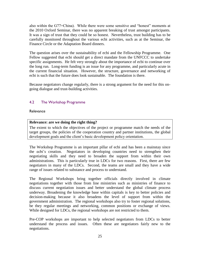also within the G77+China). While there were some sensitive and "honest" moments at the 2010 Oxford Seminar, there was no apparent breaking of trust amongst participants. It was a sign of trust that they could be so honest. Nevertheless, trust building has to be carefully monitored throughout the various ecbi activities, such as at the Seminar, the Finance Circle or the Adaptation Board dinners.

The question arises over the sustainability of ecbi and the Fellowship Programme. One Fellow suggested that ecbi should get a direct mandate from the UNFCCC to undertake specific assignments. He felt very strongly about the importance of ecbi to continue over the long run. Long-term funding is an issue for any programme, and particularly acute in the current financial situation. However, the structure, governance and networking of ecbi is such that the future does look sustainable. The foundation is there.

Because negotiators change regularly, there is a strong argument for the need for this ongoing dialogue and trust-building activities.

# 4.2 The Workshop Programme

#### **Relevance**

#### **Relevance: are we doing the right thing?**

The extent to which the objectives of the project or programme match the needs of the target groups, the policies of the cooperation country and partner institutions, the global development goals and the client"s basic development policy orientation.

The Workshop Programme is an important pillar of ecbi and has been a mainstay since the ecbi"s creation. Negotiators in developing countries need to strengthen their negotiating skills and they need to broaden the support from within their own administrations. This is particularly true in LDCs for two reasons. First, there are few negotiators in many of the LDCs. Second, the teams are small and they have a wide range of issues related to substance and process to understand.

The Regional Workshops bring together officials directly involved in climate negotiations together with those from line ministries such as ministries of finance to discuss current negotiation issues and better understand the global climate process underway. Broadening the knowledge base within capitals is key to better policies and decision-making because it also broadens the level of support from within the government administration. The regional workshops also try to foster regional solutions, be they regular meetings and networking, common positions or exchange of views. While designed for LDCs, the regional workshops are not restricted to them.

Pre-COP workshops are important to help selected negotiators from LDCs to better understand the process and issues. Often these are negotiators fairly new to the negotiations.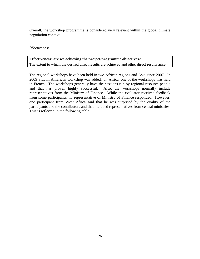Overall, the workshop programme is considered very relevant within the global climate negotiation context.

#### **Effectiveness**

# **Effectiveness: are we achieving the project/programme objectives?**

The extent to which the desired direct results are achieved and other direct results arise.

The regional workshops have been held in two African regions and Asia since 2007. In 2009 a Latin American workshop was added. In Africa, one of the workshops was held in French. The workshops generally have the sessions run by regional resource people and that has proven highly successful. Also, the workshops normally include representatives from the Ministry of Finance. While the evaluator received feedback from some participants, no representative of Ministry of Finance responded. However, one participant from West Africa said that he was surprised by the quality of the participants and the contributors and that included representatives from central ministries. This is reflected in the following table.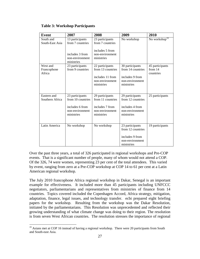| <b>Event</b>                      | 2007                                                                                     | 2008                                                                                     | 2009                                                                                     | 2010                                    |
|-----------------------------------|------------------------------------------------------------------------------------------|------------------------------------------------------------------------------------------|------------------------------------------------------------------------------------------|-----------------------------------------|
| South and<br>South-East Asia      | 13 participants<br>from 7 countries                                                      | 23 participants<br>from 7 countries                                                      | No workshop                                                                              | No workshop <sup>19</sup>               |
|                                   | includes 3 from<br>non-environment<br>ministries                                         | includes 5 from<br>non-environment<br>ministries                                         |                                                                                          |                                         |
| West and<br>Francophone<br>Africa | 23 participants<br>from 9 countries                                                      | 22 participants<br>from 13 countries<br>includes 11 from                                 | 30 participants<br>from 14 countries<br>includes 9 from                                  | 45 participants<br>from 14<br>countries |
|                                   |                                                                                          | non-environment<br>ministries                                                            | non-environment<br>ministries                                                            |                                         |
| Eastern and<br>Southern Africa    | 23 participants<br>from 10 countries<br>includes 6 from<br>non-environment<br>ministries | 29 participants<br>from 11 countries<br>includes 7 from<br>non-environment<br>ministries | 29 participants<br>from 12 countries<br>includes 4 from<br>non-environment<br>ministries | 25 participants                         |
| Latin America                     | No workshop                                                                              | No workshop                                                                              | 23 participants<br>from 12 countries<br>includes 9 from<br>non-environment<br>ministries | 19 participants                         |

#### **Table 3: Workshop Participants**

Over the past three years, a total of 326 participated in regional workshops and Pre-COP events. That is a significant number of people, many of whom would not attend a COP. Of the 326, 74 were women, representing 23 per cent of the total attendees. This varied by event, ranging from zero at a Pre-COP workshop at COP 14 to 61 per cent at a Latin American regional workshop.

The July 2010 francophone Africa regional workshop in Dakar, Senegal is an important example for effectiveness. It included more than 45 participants including UNFCCC negotiators, parliamentarians and representatives from ministries of finance from 14 countries. Topics covered included the Copenhagen Accord, Africa strategy, mitigation, adaptation, finance, legal issues, and technology transfer. ecbi prepared eight briefing papers for the workshop. Resulting from the workshop was the Dakar Resolution, initiated by the parliamentarians. This Resolution was unprecedented and reflected their growing understanding of what climate change was doing to their region. The resolution is from seven West African countries. The resolution stresses the importance of regional

 $\overline{a}$ 

<sup>&</sup>lt;sup>19</sup> Asians met at COP 16 instead of having a regional workshop. There were 20 participants from South and South-east Asia.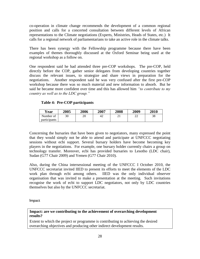co-operation in climate change recommends the development of a common regional position and calls for a concerted consultation between different levels of African representations to the Climate negotiations (Experts, Ministries, Heads of States, etc.) It calls for a regional network of parliamentarians to take an active role in the climate talks.

There has been synergy with the Fellowship programme because there have been examples of themes thoroughly discussed at the Oxford Seminar being used at the regional workshop as a follow on.

One respondent said he had attended three pre-COP workshops. The pre-COP, held directly before the COP, gather senior delegates from developing countries together discuss the relevant issues, to strategize and share views in preparation for the negotiations. Another respondent said he was very confused after the first pre-COP workshop because there was so much material and new information to absorb. But he said he became more confident over time and this has allowed him *"to contribute to my country as well as to the LDC group."*

# **Table 4: Pre-COP participants**

| Year                | 2005 | 2006 | 2007 | 2008      | 2009         | 2010 |
|---------------------|------|------|------|-----------|--------------|------|
| Number of           | 30   | 20   | 42   | ⌒ 1<br>∠⊥ | $\sim$<br>∠∠ | 38   |
| <i>narticipants</i> |      |      |      |           |              |      |

Concerning the bursaries that have been given to negotiators, many expressed the point that they would simply not be able to attend and participate at UNFCCC negotiating sessions without ecbi support. Several bursary holders have become becoming key players in the negotiations. For example, one bursary holder currently chairs a group on technology transfer. Moreover, ecbi has provided bursaries to Lesotho (LDC chair), Sudan (G77 Chair 2009) and Yemen (G77 Chair 2010).

Also, during the China intersessional meeting of the UNFCCC I October 2010, the UNFCCC secretariat invited IIED to present its efforts to meet the elements of the LDC work plan through ecbi among others. IIED was the only individual observer organisation that was invited to make a presentation at the meeting. Such invitations recognise the work of ecbi to support LDC negotiators, not only by LDC countries themselves but also by the UNFCCC secretariat.

Impact

# **Impact: are we contributing to the achievement of overarching development results?**

Extent to which the project or programme is contributing to achieving the desired overarching objectives and producing other indirect development results.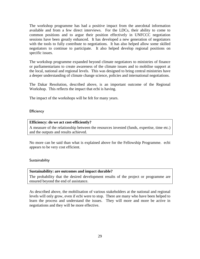The workshop programme has had a positive impact from the anecdotal information available and from a few direct interviews. For the LDCs, their ability to come to common positions and to argue their position effectively in UNFCCC negotiation sessions have been greatly enhanced. It has developed a new generation of negotiators with the tools to fully contribute to negotiations. It has also helped allow some skilled negotiators to continue to participate. It also helped develop regional positions on specific issues.

The workshop programme expanded beyond climate negotiators to ministries of finance or parliamentarians to create awareness of the climate issues and to mobilise support at the local, national and regional levels. This was designed to bring central ministries have a deeper understanding of climate change science, policies and international negotiations.

The Dakar Resolution, described above, is an important outcome of the Regional Workshop. This reflects the impact that ecbi is having.

The impact of the workshops will be felt for many years.

#### **Efficiency**

#### **Efficiency: do we act cost-efficiently?**

A measure of the relationship between the resources invested (funds, expertise, time etc.) and the outputs and results achieved.

No more can be said than what is explained above for the Fellowship Programme. ecbi appears to be very cost efficient.

#### **Sustainability**

#### **Sustainability: are outcomes and impact durable?**

The probability that the desired development results of the project or programme are ensured beyond the end of assistance.

As described above, the mobilisation of various stakeholders at the national and regional levels will only grow, even if ecbi were to stop. There are many who have been helped to learn the process and understand the issues. They will more and more be active in negotiations and they will be more effective.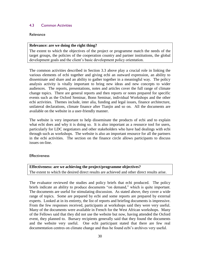#### 4.3 Common Activities

#### Relevance

#### **Relevance: are we doing the right thing?**

The extent to which the objectives of the project or programme match the needs of the target groups, the policies of the cooperation country and partner institutions, the global development goals and the client"s basic development policy orientation.

The common activities described in Section 3.3 above play a crucial role in linking the various elements of ecbi together and giving ecbi an outward expression, an ability to disseminate and share and an ability to gather together in a meaningful way. The policy analysis activity is vitally important to bring new ideas and new concepts to wider audiences. The reports, presentations, notes and articles cover the full range of climate change topics. There are general reports and then reports or notes prepared for specific events such as the Oxford Seminar, Bonn Seminar, individual Workshops and the other ecbi activities. Themes include, inter alia, funding and legal issues, finance architecture, unilateral declarations, climate finance after Tianjin and so on. All the documents are available on the website in a user-friendly manner.

The website is very important to help disseminate the products of ecbi and to explain what ecbi does and why it is doing so. It is also important as a resource tool for users, particularly for LDC negotiators and other stakeholders who have had dealings with ecbi through such as workshops. The website is also an important resource for all the partners in the ecbi activities. The section on the finance circle allows participants to discuss issues on-line.

#### **Effectiveness**

# **Effectiveness: are we achieving the project/programme objectives?**

The extent to which the desired direct results are achieved and other direct results arise.

The evaluator reviewed the studies and policy briefs that ecbi produced. The policy briefs indicate an ability to produce documents "on demand," which is quite important. The documents are useful for stimulating discussion. As stated above, they cover a wide range of topics. Some are prepared by ecbi and some reports are prepared by external experts. Looked at in its entirety, the list of reports and briefing documents is impressive. From the few responses received, participants at workshops said they were very useful. Many of the documents were available in French for the West African workshops. Many of the Fellows said that they did not use the website but now, having attended the Oxford event, they planned to. Bursary recipients generally said that they found the documents and the website very useful. One ecbi participant stated that there are few real documentation centres on climate change and thus he found ecbi"s archives very useful.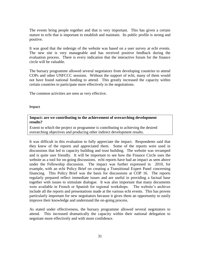The events bring people together and that is very important. This has given a certain stature to ecbi that is important to establish and maintain. Its public profile is strong and positive.

It was good that the redesign of the website was based on a user survey at ecbi events. The new site is very manageable and has received positive feedback during the evaluation process. There is every indication that the interactive forum for the finance circle will be valuable.

The bursary programme allowed several negotiators from developing countries to attend COPs and other UNFCCC sessions. Without the support of ecbi, many of them would not have found national funding to attend. This greatly increased the capacity within certain countries to participate more effectively in the negotiations.

The common activities are seen as very effective.

Impact

**Impact: are we contributing to the achievement of overarching development results?**

Extent to which the project or programme is contributing to achieving the desired overarching objectives and producing other indirect development results.

It was difficult in this evaluation to fully appreciate the impact. Respondents said that they knew of the reports and appreciated them. Some of the reports were used in discussions that led to capacity building and trust building. The website was revamped and is quite user friendly. It will be important to see how the Finance Circle uses the website as a tool for on-going discussions. ecbi reports have had an impact as seen above under the Fellowship discussion. The impact was further expressed in 2010, for example, with an ecbi Policy Brief on creating a Transitional Expert Panel concerning financing. This Policy Brief was the basis for discussions at COP 16. The reports regularly prepared reflect immediate issues and are useful in providing a factual base together with issues to stimulate dialogue. It was also important that many documents were available in French or Spanish for regional workshops. The website's archives include all the reports and presentations made at the various ecbi events. This has proven particularly important for new negotiators because it gives them an opportunity to easily improve their knowledge and understand the on-going process.

As stated under effectiveness, the bursary programme allowed several negotiators to attend. This increased dramatically the capacity within their national delegation to negotiate more effectively and with more confidence.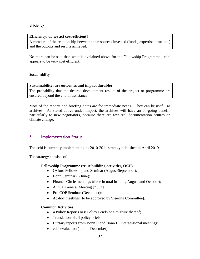#### **Efficiency**

#### **Efficiency: do we act cost-efficient?**

A measure of the relationship between the resources invested (funds, expertise, time etc.) and the outputs and results achieved.

No more can be said than what is explained above for the Fellowship Programme. ecbi appears to be very cost efficient.

#### **Sustainability**

#### **Sustainability: are outcomes and impact durable?**

The probability that the desired development results of the project or programme are ensured beyond the end of assistance.

Most of the reports and briefing notes are for immediate needs. They can be useful as archives. As stated above under impact, the archives will have an on-going benefit, particularly to new negotiators, because there are few real documentation centres on climate change.

# 5 Implementation Status

The ecbi is currently implementing its 2010-2011 strategy published in April 2010.

The strategy consists of:

#### **Fellowship Programme (trust building activities, OCP)**

- Oxford Fellowship and Seminar (August/September);
- Bonn Seminar (6 June);
- Finance Circle meetings (three in total in June, August and October);
- Annual General Meeting (7 June);
- Pre-COP Seminar (December);
- Ad-hoc meetings (to be approved by Steering Committee).

#### **Common Activities**

- 4 Policy Reports or 8 Policy Briefs or a mixture thereof;
- Translation of all policy briefs;
- Bursary reports from Bonn II and Bonn III intersessional meetings;  $\bullet$
- ecbi evaluation (June December).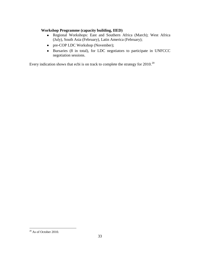# **Workshop Programme (capacity building, IIED)**

- Regional Workshops: East and Southern Africa (March); West Africa (July), South Asia (February), Latin America (February);
- pre-COP LDC Workshop (November);
- Bursaries (8 in total), for LDC negotiators to participate in UNFCCC negotiation sessions.

Every indication shows that ecbi is on track to complete the strategy for 2010.<sup>20</sup>

 $\overline{a}$  $20$  As of October 2010.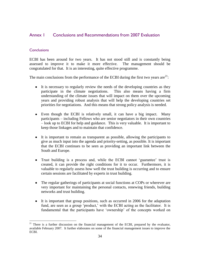# Annex 1 Conclusions and Recommendations from 2007 Evaluation

#### **Conclusions**

 $\overline{a}$ 

ECBI has been around for two years. It has not stood still and is constantly being assessed to improve it to make it more effective. The management should be congratulated for that. It is an interesting, quite effective programme.

The main conclusions from the performance of the ECBI during the first two years are $^{21}$ :

- It is necessary to regularly review the needs of the developing countries as they participate in the climate negotiations. This also means having a firm understanding of the climate issues that will impact on them over the upcoming years and providing robust analysis that will help the developing countries set priorities for negotiations. And this means that strong policy analysis is needed.
- Even though the ECBI is relatively small, it can have a big impact. Many participants – including Fellows who are senior negotiators in their own countries – look up to ECBI for help and guidance. This is very valuable. It is important to keep those linkages and to maintain that confidence.
- It is important to remain as transparent as possible, allowing the participants to give as much input into the agenda and priority-setting, as possible. It is important that the ECBI continues to be seen as providing an important link between the South and Europe.
- Trust building is a process and, while the ECBI cannot 'guarantee' trust is created, it can provide the right conditions for it to occur. Furthermore, it is valuable to regularly assess how well the trust building is occurring and to ensure certain sessions are facilitated by experts in trust building.
- The regular gatherings of participants at social functions at COPs or wherever are very important for maintaining the personal contacts, renewing friends, building networks and trust building.
- It is important that group positions, such as occurred in 2006 for the adaptation fund, are seen as a group 'product,' with the ECBI acting as the facilitator. It is fundamental that the participants have "ownership" of the concepts worked on

<sup>&</sup>lt;sup>21</sup> There is a further discussion on the financial management of the ECBI, prepared by the evaluator, available February 2007. It further elaborates on some of the financial management issues to improve the ECBI.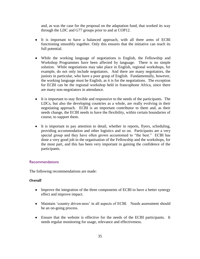and, as was the case for the proposal on the adaptation fund, that worked its way through the LDC and G77 groups prior to and at COP12.

- It is important to have a balanced approach, with all three arms of ECBI functioning smoothly together. Only this ensures that the initiative can reach its full potential.
- While the working language of negotiations is English, the Fellowship and Workshop Programmes have been affected by language. There is no simple solution. While negotiations may take place in English, regional workshops, for example, do not only include negotiators. And there are many negotiators, the juniors in particular, who have a poor grasp of English. Fundamentally, however, the working language must be English, as it is for the negotiations. The exception for ECBI can be the regional workshop held in francophone Africa, since there are many non-negotiators in attendance.
- It is important to stay flexible and responsive to the needs of the participants. The LDCs, but also the developing countries as a whole, are really evolving in their negotiating approach. ECBI is an important contributor to them and, as their needs change, the ECBI needs to have the flexibility, within certain boundaries of course, to support them.
- It is important to pay attention to detail, whether in reports, flyers, scheduling, providing accommodation and other logistics and so on. Participants are a very special group and they have often grown accustomed to "the best." ECBI has done a very good job in the organisation of the Fellowship and the workshops, for the most part, and this has been very important in gaining the confidence of the participants.

#### Recommendations

The following recommendations are made:

#### *Overall*

- Improve the integration of the three components of ECBI to have a better synergy effect and improve impact.
- Maintain 'country driven-ness' in all aspects of ECBI. Needs assessment should be an on-going process.
- Ensure that the website is effective for the needs of the ECBI participants. It needs regular monitoring for usage, relevance and effectiveness.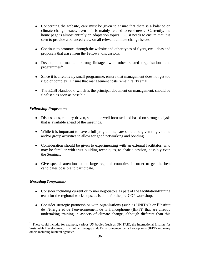- Concerning the website, care must be given to ensure that there is a balance on climate change issues, even if it is mainly related to ecbi-news. Currently, the home page is almost entirely on adaptation topics. ECBI needs to ensure that it is seen to provide a balanced view on all relevant climate change issues.
- Continue to promote, through the website and other types of flyers, etc., ideas and proposals that arise from the Fellows" discussions.
- Develop and maintain strong linkages with other related organisations and programmes 22 .
- Since it is a relatively small programme, ensure that management does not get too rigid or complex. Ensure that management costs remain fairly small.
- The ECBI Handbook, which is the principal document on management, should be finalised as soon as possible.

#### *Fellowship Programme*

- Discussions, country-driven, should be well focussed and based on strong analysis that is available ahead of the meetings.
- While it is important to have a full programme, care should be given to give time and/or group activities to allow for good networking and bonding.
- Consideration should be given to experimenting with an external facilitator, who may be familiar with trust building techniques, to chair a session, possibly even the Seminar.
- Give special attention to the large regional countries, in order to get the best candidates possible to participate.

#### *Workshop Programme*

 $\overline{a}$ 

- Consider including current or former negotiators as part of the facilitation/training team for the regional workshops, as is done for the pre-COP workshop.
- Consider strategic partnerships with organisations (such as UNITAR or l"Institut de l"énergie et de l"environnement de la francophonie (IEPF)) that are already undertaking training in aspects of climate change, although different than this

<sup>&</sup>lt;sup>22</sup> These could include, for example, various UN bodies (such as UNITAR), the International Institute for Sustainable Development, l"Institut de l"énergie et de l"environnement de la francophonie (IEPF) and many others including bilateral agencies.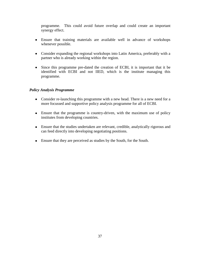programme. This could avoid future overlap and could create an important synergy effect.

- Ensure that training materials are available well in advance of workshops whenever possible.
- Consider expanding the regional workshops into Latin America, preferably with a partner who is already working within the region.
- Since this programme pre-dated the creation of ECBI, it is important that it be identified with ECBI and not IIED, which is the institute managing this programme.

# *Policy Analysis Programme*

- Consider re-launching this programme with a new head. There is a new need for a more focussed and supportive policy analysis programme for all of ECBI.
- Ensure that the programme is country-driven, with the maximum use of policy institutes from developing countries.
- Ensure that the studies undertaken are relevant, credible, analytically rigorous and can feed directly into developing negotiating positions.
- Ensure that they are perceived as studies by the South, for the South.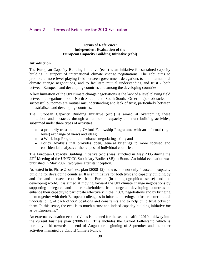# Annex 2 Terms of Reference for 2010 Evaluation

#### **Terms of Reference: Independent Evaluation of the European Capacity Building Initiative (ecbi)**

#### **Introduction**

The European Capacity Building Initiative (ecbi) is an initiative for sustained capacity building in support of international climate change negotiations. The ecbi aims to promote a more level playing field between government delegations to the international climate change negotiations, and to facilitate mutual understanding and trust - both between European and developing countries and among the developing countries.

A key limitation of the UN climate change negotiations is the lack of a level playing field between delegations, both North-South, and South-South. Other major obstacles to successful outcomes are mutual misunderstanding and lack of trust, particularly between industrialised and developing countries.

The European Capacity Building Initiative (ecbi) is aimed at overcoming these limitations and obstacles through a number of capacity and trust building activities, subsumed under three types of activities:

- a primarily trust-building Oxford Fellowship Programme with an informal (high level) exchange of views and ideas;
- a Workshop Programme to enhance negotiating skills; and
- Policy Analysis that provides open, general briefings to more focused and confidential analyses at the request of individual countries.

The European Capacity Building Initiative (ecbi) was launched in May 2005 during the  $22<sup>nd</sup>$  Meeting of the UNFCCC Subsidiary Bodies (SB) in Bonn. An initial evaluation was published in May 2007, two years after its inception.

As stated in its Phase 2 business plan (2008-12), "the ecbi is not only focused on capacity building for developing countries**.** It is an initiative for both trust and capacity building by and for and between countries from Europe (in the geographical sense) and the developing world. It is aimed at moving forward the UN climate change negotiations by supporting delegates and other stakeholders from targeted developing countries to enhance their capacity to participate effectively in the FCCC negotiations and by bringing them together with their European colleagues in informal meetings to foster better mutual understanding of each others" positions and constraints and to help build trust between them. In this sense, the ecbi is as much a trust and indeed capacity building initiative *for*  as by Europeans."

An external evaluation ecbi activities is planned for the second half of 2010, midway into the current business plan (2008-12). This includes the Oxford Fellowship which is normally held towards the end of August or beginning of September and the other activities managed by Oxford Climate Policy.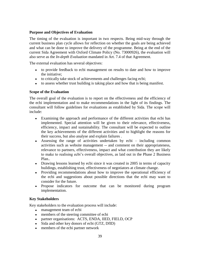# **Purpose and Objectives of Evaluation**

The timing of the evaluation is important in two respects. Being mid-way through the current business plan cycle allows for reflection on whether the goals are being achieved and what can be done to improve the delivery of the programme. Being at the end of the current Sida Agreement with Oxford Climate Policy (No. 73000926), the evaluation will also serve as the *In-depth Evaluation* mandated in Art. 7.4 of that Agreement.

The external evaluation has several objectives:

- to provide feedback to ecbi management on results to date and how to improve the initiative;
- to critically take stock of achievements and challenges facing ecbi;
- to assess whether trust building is taking place and how that is being manifest.

#### **Scope of the Evaluation**

The overall goal of the evaluation is to report on the effectiveness and the efficiency of the ecbi implementation and to make recommendations in the light of its findings. The consultant will follow guidelines for evaluations as established by Sida. The scope will include:

- Examining the approach and performance of the different activities that ecbi has implemented. Special attention will be given to their relevance, effectiveness, efficiency, impact and sustainability. The consultant will be expected to outline the key achievements of the different activities and to highlight the reasons for their success, but also analyse and explain failures .
- Assessing the range of activities undertaken by ecbi including common activities such as website management -- and comment on their appropriateness, relevance to partners, effectiveness, impact and what contribution they are likely to make to realising ecbi"s overall objectives, as laid out in the Phase 2 Business Plan..
- Drawing lessons learned by ecbi since it was created in 2005 in terms of capacity buildings, establishing trust, effectiveness of negotiators at climate change.
- Providing recommendations about how to improve the operational efficiency of the ecbi and suggestions about possible directions that the ecbi may want to consider for the future.
- Propose indicators for outcome that can be monitored during program implementation.

# **Key Stakeholders**

Key stakeholders to the evaluation process will include:

- management team of ecbi
- members of the steering committee of ecbi
- partner organisations: ACTS, ENDA, IIED, FIELD, OCP
- Sida and other key donors of ecbi (GTZ, DfID)
- members of the ecbi partner network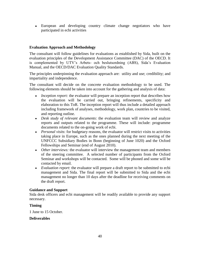European and developing country climate change negotiators who have participated in ecbi activities

## **Evaluation Approach and Methodology**

The consultant will follow guidelines for evaluations as established by Sida, built on the evaluation principles of the Development Assistance Committee (DAC) of the OECD. It is complemented by UTV"s Arbets- och beslutsordning (ABS), Sida"s Evaluation Manual, and the OECD/DAC Evaluation Quality Standards.

The principles underpinning the evaluation approach are: utility and use; credibility; and impartiality and independence.

The consultant will decide on the concrete evaluation methodology to be used. The following elements should be taken into account for the gathering and analysis of data:

- *Inception report:* the evaluator will prepare an inception report that describes how the evaluation will be carried out, bringing refinements, specificity and elaboration to this ToR. The inception report will thus include a detailed approach including framework of analyses, methodology, work plan, countries to be visited, and reporting outline.
- *Desk study of relevant documents*: the evaluation team will review and analyze reports and outputs related to the programme. These will include: programme documents related to the on-going work of ecbi.
- *Personal visits*: for budgetary reasons, the evaluator will restrict visits to activities taking place in Europe, such as the ones planned during the next meeting of the UNFCCC Subsidiary Bodies in Bonn (beginning of June 1020) and the Oxford Fellowships and Seminar (end of August 2010).
- *Other interviews:* the evaluator will interview the management team and members of the steering committee. A selected number of participants from the Oxford Seminar and workshops will be contacted. Some will be phoned and some will be contacted by email.
- *Evaluation report*: the evaluator will prepare a draft report to be submitted to ecbi management and Sida. The final report will be submitted to Sida and the ecbi management no longer than 10 days after the deadline for receiving comments on the draft report.

#### **Guidance and Support**

Sida desk officers and ecbi management will be readily available to provide any support necessary.

#### **Timing**

1 June to 15 October.

#### **Deliverables**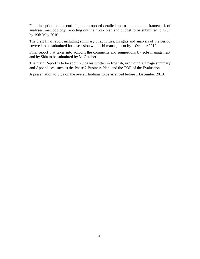Final inception report, outlining the proposed detailed approach including framework of analyses, methodology, reporting outline, work plan and budget to be submitted to OCP by 19th May 2010.

The draft final report including summary of activities, insights and analysis of the period covered to be submitted for discussion with ecbi management by 1 October 2010.

Final report that takes into account the comments and suggestions by ecbi management and by Sida to be submitted by 31 October.

The main Report is to be about 20 pages written in English, excluding a 2 page summary and Appendices, such as the Phase 2 Business Plan, and the TOR of the Evaluation.

A presentation to Sida on the overall findings to be arranged before 1 December 2010.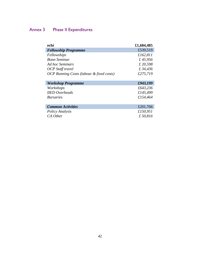# Annex 3 Phase II Expenditures

| ecbi                                                | £1,684,485 |
|-----------------------------------------------------|------------|
| <b>Fellowship Programme</b>                         | £539,519   |
| Fellowships                                         | £162,811   |
| <b>Bonn Seminar</b>                                 | £45,956    |
| Ad hoc Seminars                                     | £ 20,598   |
| OCP Staff travel                                    | £ 34,436   |
| <b>OCP Running Costs (labour &amp; fixed costs)</b> | £275,719   |
|                                                     |            |
| <b>Workshop Programme</b>                           | £943,199   |
| Workshops                                           | £643,236   |
| <b>IIED</b> Overheads                               | £145,499   |
| <i>Bursaries</i>                                    | £154,464   |
|                                                     |            |
| <b>Common Activities</b>                            | £201,766   |
| Policy Analysis                                     | £150,951   |
| CA Other                                            | £50,816    |
|                                                     |            |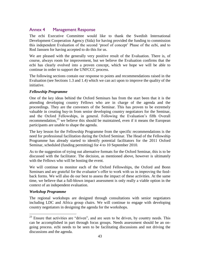# Annex 4 Management Response

The ecbi Executive Committee would like to thank the Swedish International Development Cooperation Agency (Sida) for having provided the funding to commission this independent Evaluation of the second "proof of concept" Phase of the ecbi, and to Rod Janssen for having accepted to do this for us.

We are pleased with the generally very positive result of the Evaluation. There is, of course, always room for improvement, but we believe the Evaluation confirms that the ecbi has clearly evolved into a proven concept, which we hope we will be able to continue in order to support the UNFCCC process.

The following sections contain our response to points and recommendations raised in the Evaluation (see Sections 1.3 and 1.4) which we can act upon to improve the quality of the initiative.

#### *Fellowship Programme*

One of the key ideas behind the Oxford Seminars has from the start been that it is the attending developing country Fellows who are in charge of the agenda and the proceedings. They are the conveners of the Seminar. This has proven to be extremely valuable in creating buy-in from senior developing country negotiators for the Seminar, and the Oxford Fellowships, in general. Following the Evaluation"s fifth Overall recommendation,<sup>23</sup> we believe this should be maintained, even if it means the European participants are unable to shape the agenda.

The key lesson for the Fellowship Programme from the specific recommendations is the need for professional facilitation during the Oxford Seminar. The Head of the Fellowship Programme has already started to identify potential facilitators for the 2011 Oxford Seminar, scheduled (funding permitting) for 4 to 10 September 2010.

As to the suggestion of trying out alternative formats for the Oxford Seminar, this is to be discussed with the facilitator. The decision, as mentioned above, however is ultimately with the Fellows who will be hosting the event.

We will continue to monitor each of the Oxford Fellowships, the Oxford and Bonn Seminars and are grateful for the evaluator"s offer to work with us in improving the feedback forms. We will also do our best to assess the impact of these activities. At the same time, we believe that a full-blown impact assessment is only really a viable option in the context of an independent evaluation.

#### *Workshop Programme*

 $\overline{a}$ 

The regional workshops are designed through consultations with senior negotiators including LDC and Africa group chairs. We will continue to engage with developing country negotiators in designing the agenda for the workshops.

 $23$  Ensure that activities are "driven", and are seen to be driven, by country needs. This can be accomplished in part through focus groups. Needs assessment should be an ongoing process. ecbi needs to be seen to be facilitating discussions and not driving the discussions and the agenda.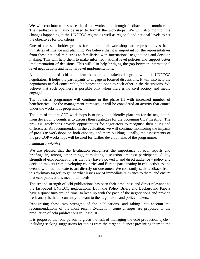We will continue to assess each of the workshops through feedbacks and monitoring. The feedbacks will also be used to format the workshops. We will also monitor the changes happening at the UNFCCC regime as well as regional and national levels to set the objectives for workshops.

One of the stakeholder groups for the regional workshops are representatives from ministries of finance and planning. We believe that it is important for the representatives from these national ministries to familiarise with international negotiations and decision making. This will help them to make informed national level policies and support better implementation of decisions. This will also help bridging the gap between international level negotiations and national level implementations.

A main strength of ecbi is its clear focus on one stakeholder group which is UNFCCC negotiators. It helps the participants to engage in focused discussions. It will also help the negotiators to feel comfortable, be honest and open to each other in the discussions. We believe that such openness is possible only when there is no civil society and media engaged.

The bursaries programme will continue in the phase III with increased number of beneficiaries. For the management purposes, it will be considered an activity that comes under the workshops programme.

The aim of the pre-COP workshops is to provide a friendly platform for the negotiators from developing countries to discuss their strategies for the upcoming COP meeting. The pre-COP workshops provide opportunities for negotiators to recognise their allies and differences. As recommended in the evaluation, we will continue monitoring the impacts of pre-COP workshops on both capacity and team building. Finally, the assessments of the pre-COP workshops will be used for further developments of the programme.

#### *Common Activities*

We are pleased that the Evaluation recognizes the importance of ecbi reports and briefings in, among other things, stimulating discussion amongst participants. A key strength of ecbi publications is that they have a powerful and direct audience – policy and decision-makers from developing countries and Europe participating in ecbi activities and events, with the mandate to act directly on outcomes. We constantly seek feedback from this "primary target" to gauge what issues are of immediate relevance to them, and ensure that ecbi publications meet their needs.

The second strength of ecbi publications has been their timeliness and direct relevance to the fast-paced UNFCCC negotiations. Both the Policy Briefs and Background Papers have a quick turn-around time, to keep up with the pace of the negotiations and provide fresh analysis that is currently relevant to the negotiators and policy makers.

Recognising these two strengths of the publications, and taking into account the recommendations of the most recent Evaluation, some changes are proposed to the production of ecbi publications in Phase III.

It is proposed that one person is given the task of managing the ecbi production cycle including seeking suggestions for topics from the target audience; presenting them to the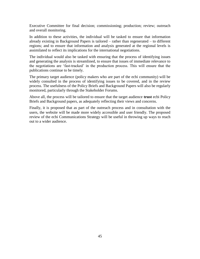Executive Committee for final decision; commissioning; production; review; outreach and overall monitoring.

In addition to these activities, the individual will be tasked to ensure that information already existing in Background Papers is tailored – rather than regenerated – to different regions; and to ensure that information and analysis generated at the regional levels is assimilated to reflect its implications for the international negotiations.

The individual would also be tasked with ensuring that the process of identifying issues and generating the analysis is streamlined, to ensure that issues of immediate relevance to the negotiations are "fast-tracked" in the production process. This will ensure that the publications continue to be timely.

The primary target audience (policy makers who are part of the ecbi community) will be widely consulted in the process of identifying issues to be covered, and in the review process. The usefulness of the Policy Briefs and Background Papers will also be regularly monitored, particularly through the Stakeholder Forums.

Above all, the process will be tailored to ensure that the target audience **trust** ecbi Policy Briefs and Background papers, as adequately reflecting their views and concerns.

Finally, it is proposed that as part of the outreach process and in consultation with the users, the website will be made more widely accessible and user friendly. The proposed review of the ecbi Communications Strategy will be useful in throwing up ways to reach out to a wider audience.